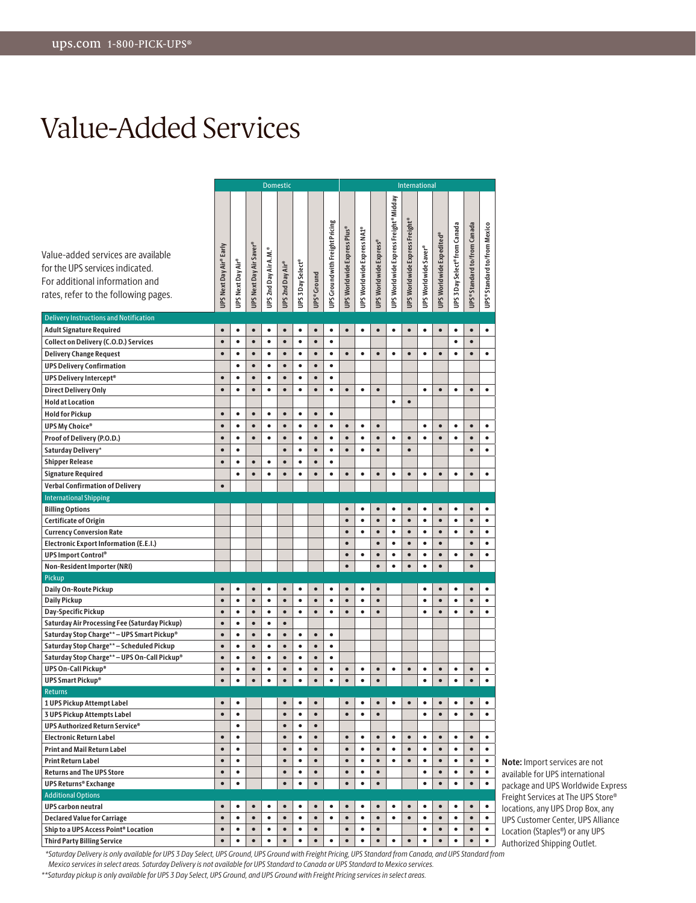# Value-Added Services

|                                                                                                                                                 | <b>Domestic</b>         |                   |                         |                       | International    |                   |             |                                 |                             |                                        |                        |                                       |                                |                      |                                 |                                      |                              |                              |
|-------------------------------------------------------------------------------------------------------------------------------------------------|-------------------------|-------------------|-------------------------|-----------------------|------------------|-------------------|-------------|---------------------------------|-----------------------------|----------------------------------------|------------------------|---------------------------------------|--------------------------------|----------------------|---------------------------------|--------------------------------------|------------------------------|------------------------------|
| Value-added services are available<br>for the UPS services indicated.<br>For additional information and<br>rates, refer to the following pages. | UPS Next Day Air® Early | UPS Next Day Air® | UPS Next Day Air Saver® | UPS 2nd Day Air A.M.® | UPS 2nd Day Air® | UPS 3 Day Select® | UPS® Ground | UPS Ground with Freight Pricing | UPS Worldwide Express Plus® | UPS Worldwide Express NA1 <sup>®</sup> | UPS Worldwide Express® | UPS Worldwide Express Freight® Midday | UPS Worldwide Express Freight® | UPS Worldwide Saver® | <b>UPS Worldwide Expedited®</b> | <b>UPS 3 Day Select® from Canada</b> | UPS® Standard to/from Canada | UPS® Standard to/from Mexico |
| <b>Delivery Instructions and Notification</b>                                                                                                   |                         |                   |                         |                       |                  |                   |             |                                 |                             |                                        |                        |                                       |                                |                      |                                 |                                      |                              |                              |
| <b>Adult Signature Required</b>                                                                                                                 | ٠                       | ٠                 | $\bullet$               | $\bullet$             | $\bullet$        | $\bullet$         | $\bullet$   | ٠                               | $\bullet$                   | $\bullet$                              | $\bullet$              | $\bullet$                             | $\bullet$                      | ٠                    | $\bullet$                       | ٠                                    | $\bullet$                    | $\bullet$                    |
| Collect on Delivery (C.O.D.) Services                                                                                                           | $\bullet$               | ٠                 | $\bullet$               | ٠                     | $\bullet$        | ٠                 | $\bullet$   | ٠                               |                             |                                        |                        |                                       |                                |                      |                                 | ٠                                    | $\bullet$                    |                              |
| <b>Delivery Change Request</b>                                                                                                                  | ٠                       | $\bullet$         | $\bullet$               | $\bullet$             | $\bullet$        | $\bullet$         | $\bullet$   | ٠                               | $\bullet$                   | ٠                                      | $\bullet$              | ٠                                     | $\bullet$                      | ٠                    | $\bullet$                       | ٠                                    | $\bullet$                    | $\bullet$                    |
| <b>UPS Delivery Confirmation</b>                                                                                                                |                         | $\bullet$         | $\bullet$               | ٠                     | $\bullet$        | $\bullet$         | $\bullet$   | ٠                               |                             |                                        |                        |                                       |                                |                      |                                 |                                      |                              |                              |
| UPS Delivery Intercept <sup>®</sup>                                                                                                             | $\bullet$               | $\bullet$         | $\bullet$               | $\bullet$             | $\bullet$        | $\bullet$         | $\bullet$   | $\bullet$                       |                             |                                        |                        |                                       |                                |                      |                                 |                                      |                              |                              |
| <b>Direct Delivery Only</b>                                                                                                                     | $\bullet$               | $\bullet$         | $\bullet$               | $\bullet$             | $\bullet$        | $\bullet$         | $\bullet$   | $\bullet$                       | $\bullet$                   | ٠                                      | $\bullet$              |                                       |                                | $\bullet$            | $\bullet$                       | $\bullet$                            | $\bullet$                    | $\bullet$                    |
| <b>Hold at Location</b>                                                                                                                         |                         |                   |                         |                       |                  |                   |             |                                 |                             |                                        |                        | $\bullet$                             | $\bullet$                      |                      |                                 |                                      |                              |                              |
| <b>Hold for Pickup</b>                                                                                                                          | $\bullet$               | $\bullet$         | $\bullet$               | $\bullet$             | $\bullet$        | $\bullet$         | $\bullet$   | $\bullet$                       |                             |                                        |                        |                                       |                                |                      |                                 |                                      |                              |                              |
| UPS My Choice®                                                                                                                                  | $\bullet$               | $\bullet$         | $\bullet$               | $\bullet$             | $\bullet$        | $\bullet$         | $\bullet$   | $\bullet$                       | $\bullet$                   | ٠                                      | $\bullet$              |                                       |                                | $\bullet$            | $\bullet$                       | $\bullet$                            | $\bullet$                    | $\bullet$                    |
| Proof of Delivery (P.O.D.)                                                                                                                      |                         | $\bullet$         | $\bullet$               | $\bullet$             | $\bullet$        | $\bullet$         | $\bullet$   | $\bullet$                       | $\bullet$                   | ٠                                      | $\bullet$              | $\bullet$                             | $\bullet$                      | $\bullet$            | $\bullet$                       | $\bullet$                            | $\bullet$                    | $\bullet$                    |
| Saturday Delivery*                                                                                                                              |                         | $\bullet$         |                         |                       | $\bullet$        | $\bullet$         | $\bullet$   | $\bullet$                       | $\bullet$                   | ٠                                      | $\bullet$              |                                       | $\bullet$                      |                      |                                 |                                      | $\bullet$                    | $\bullet$                    |
| <b>Shipper Release</b>                                                                                                                          | $\bullet$               | $\bullet$         | $\bullet$               | $\bullet$             | $\bullet$        | $\bullet$         | $\bullet$   | $\bullet$                       |                             |                                        |                        |                                       |                                |                      |                                 |                                      |                              |                              |
| <b>Signature Required</b>                                                                                                                       |                         | ٠                 | $\bullet$               | ٠                     | $\bullet$        | $\bullet$         | $\bullet$   | $\bullet$                       | $\bullet$                   | ٠                                      | $\bullet$              | ٠                                     | $\bullet$                      | ٠                    | $\bullet$                       | $\bullet$                            | $\bullet$                    | $\bullet$                    |
| <b>Verbal Confirmation of Delivery</b>                                                                                                          | $\bullet$               |                   |                         |                       |                  |                   |             |                                 |                             |                                        |                        |                                       |                                |                      |                                 |                                      |                              |                              |
| <b>International Shipping</b>                                                                                                                   |                         |                   |                         |                       |                  |                   |             |                                 |                             |                                        |                        |                                       |                                |                      |                                 |                                      |                              |                              |
| <b>Billing Options</b>                                                                                                                          |                         |                   |                         |                       |                  |                   |             |                                 | $\bullet$                   | ٠                                      | $\bullet$              | ٠                                     | $\bullet$                      | ٠                    | $\bullet$                       | ٠                                    | $\bullet$                    | $\bullet$                    |
| <b>Certificate of Origin</b>                                                                                                                    |                         |                   |                         |                       |                  |                   |             |                                 | $\bullet$                   | ٠                                      | $\bullet$              | $\bullet$                             | $\bullet$                      | $\bullet$            | $\bullet$                       | $\bullet$                            | $\bullet$                    | $\bullet$                    |
| <b>Currency Conversion Rate</b>                                                                                                                 |                         |                   |                         |                       |                  |                   |             |                                 | $\bullet$                   | ٠                                      | $\bullet$              | $\bullet$                             | $\bullet$                      | $\bullet$            | $\bullet$                       | $\bullet$                            | $\bullet$                    | $\bullet$                    |
| Electronic Export Information (E.E.I.)                                                                                                          |                         |                   |                         |                       |                  |                   |             |                                 | $\bullet$                   |                                        | $\bullet$              | $\bullet$                             | $\bullet$                      | $\bullet$            | $\bullet$                       |                                      | $\bullet$                    | $\bullet$                    |
| <b>UPS Import Control®</b>                                                                                                                      |                         |                   |                         |                       |                  |                   |             |                                 | $\bullet$                   | ٠                                      | $\bullet$              | $\bullet$                             | $\bullet$                      | ٠                    | $\bullet$                       | $\bullet$                            | $\bullet$                    | $\bullet$                    |
| Non-Resident Importer (NRI)                                                                                                                     |                         |                   |                         |                       |                  |                   |             |                                 | $\bullet$                   |                                        | $\bullet$              | $\bullet$                             | $\bullet$                      | ٠                    | $\bullet$                       |                                      | $\bullet$                    |                              |
| Pickup                                                                                                                                          |                         |                   |                         |                       |                  |                   |             |                                 |                             |                                        |                        |                                       |                                |                      |                                 |                                      |                              |                              |
| Daily On-Route Pickup                                                                                                                           | ٠                       | $\bullet$         | $\bullet$               | ٠                     | $\bullet$        | ٠                 | $\bullet$   | ٠                               | $\bullet$                   | ٠                                      | $\bullet$              |                                       |                                | ٠                    | $\bullet$                       | ٠                                    | $\bullet$                    | ٠                            |
| <b>Daily Pickup</b>                                                                                                                             | $\bullet$               | $\bullet$         | $\bullet$               | $\bullet$             | $\bullet$        | $\bullet$         | $\bullet$   | $\bullet$                       | $\bullet$                   | $\bullet$                              | $\bullet$              |                                       |                                | $\bullet$            | $\bullet$                       | $\bullet$                            | $\bullet$                    | $\bullet$                    |
| Day-Specific Pickup                                                                                                                             | $\bullet$               | $\bullet$         | $\bullet$               | ٠                     | $\bullet$        | $\bullet$         | $\bullet$   | $\bullet$                       | $\bullet$                   | $\bullet$                              | $\bullet$              |                                       |                                | $\bullet$            | $\bullet$                       | $\bullet$                            | $\bullet$                    | $\bullet$                    |
| Saturday Air Processing Fee (Saturday Pickup)                                                                                                   | $\bullet$               | $\bullet$         | $\bullet$               | $\bullet$             | $\bullet$        |                   |             |                                 |                             |                                        |                        |                                       |                                |                      |                                 |                                      |                              |                              |
| Saturday Stop Charge**-UPS Smart Pickup®                                                                                                        | $\bullet$               | $\bullet$         | $\bullet$               | $\bullet$             | $\bullet$        | $\bullet$         | $\bullet$   | $\bullet$                       |                             |                                        |                        |                                       |                                |                      |                                 |                                      |                              |                              |
| Saturday Stop Charge**-Scheduled Pickup                                                                                                         | $\bullet$               | $\bullet$         | $\bullet$               | ٠                     | $\bullet$        | ٠                 | $\bullet$   | ٠                               |                             |                                        |                        |                                       |                                |                      |                                 |                                      |                              |                              |
| Saturday Stop Charge**-UPS On-Call Pickup®                                                                                                      | $\bullet$               | $\bullet$         | $\bullet$               | $\bullet$             | $\bullet$        | $\bullet$         | $\bullet$   | $\bullet$                       |                             |                                        |                        |                                       |                                |                      |                                 |                                      |                              |                              |
| UPS On-Call Pickup®                                                                                                                             | $\bullet$               | $\bullet$         | $\bullet$               | $\bullet$             | $\bullet$        | $\bullet$         | $\bullet$   | $\bullet$                       | $\bullet$                   | ٠                                      | $\bullet$              | ٠                                     | $\bullet$                      | ٠                    | $\bullet$                       | $\bullet$                            | $\bullet$                    | $\bullet$                    |
| <b>UPS Smart Pickup®</b>                                                                                                                        | $\bullet$               | $\bullet$         | $\bullet$               | ٠                     | $\bullet$        | $\bullet$         | $\bullet$   | $\bullet$                       | $\bullet$                   | ٠                                      | $\bullet$              |                                       |                                | ٠                    | $\bullet$                       | $\bullet$                            | $\bullet$                    | $\bullet$                    |
| <b>Returns</b>                                                                                                                                  |                         |                   |                         |                       |                  |                   |             |                                 |                             |                                        |                        |                                       |                                |                      |                                 |                                      |                              |                              |
| 1 UPS Pickup Attempt Label                                                                                                                      | $\bullet$               | ٠                 |                         |                       | $\bullet$        | ٠                 | $\bullet$   |                                 | $\bullet$                   | ٠                                      | $\bullet$              | ٠                                     | $\bullet$                      | ٠                    | $\bullet$                       | ٠                                    | $\bullet$                    | ٠                            |
| 3 UPS Pickup Attempts Label                                                                                                                     | $\bullet$               | $\bullet$         |                         |                       | $\bullet$        | $\bullet$         | $\bullet$   |                                 | $\bullet$                   | $\bullet$                              | $\bullet$              |                                       |                                | $\bullet$            | $\bullet$                       | $\bullet$                            | $\bullet$                    | $\bullet$                    |
| UPS Authorized Return Service®                                                                                                                  |                         | $\bullet$         |                         |                       | $\bullet$        | $\bullet$         | $\bullet$   |                                 |                             |                                        |                        |                                       |                                |                      |                                 |                                      |                              |                              |
| <b>Electronic Return Label</b>                                                                                                                  | $\bullet$               | $\bullet$         |                         |                       | $\bullet$        | $\bullet$         | $\bullet$   |                                 | $\bullet$                   | ٠                                      | $\bullet$              | ٠                                     | $\bullet$                      | $\bullet$            | $\bullet$                       | $\bullet$                            | $\bullet$                    | $\bullet$                    |
| Print and Mail Return Label                                                                                                                     | $\bullet$               | $\bullet$         |                         |                       | $\bullet$        | $\bullet$         | $\bullet$   |                                 | $\bullet$                   | $\bullet$                              | $\bullet$              | $\bullet$                             | $\bullet$                      | $\bullet$            | $\bullet$                       | $\bullet$                            | $\bullet$                    | $\bullet$                    |
| <b>Print Return Label</b>                                                                                                                       | $\bullet$               | $\bullet$         |                         |                       | $\bullet$        | $\bullet$         | $\bullet$   |                                 | $\bullet$                   | ٠                                      | $\bullet$              | $\bullet$                             | $\bullet$                      | $\bullet$            | $\bullet$                       | $\bullet$                            | $\bullet$                    | ٠                            |
| <b>Returns and The UPS Store</b>                                                                                                                | $\bullet$               | $\bullet$         |                         |                       | $\bullet$        | $\bullet$         | $\bullet$   |                                 | $\bullet$                   | ٠                                      | $\bullet$              |                                       |                                | $\bullet$            | $\bullet$                       | ٠                                    | $\bullet$                    | $\bullet$                    |
| <b>UPS Returns® Exchange</b>                                                                                                                    | $\bullet$               | $\bullet$         |                         |                       | $\bullet$        | $\bullet$         | $\bullet$   |                                 | $\bullet$                   | $\bullet$                              | $\bullet$              |                                       |                                | $\bullet$            | $\bullet$                       | $\bullet$                            | $\bullet$                    | $\bullet$                    |
| <b>Additional Options</b>                                                                                                                       |                         |                   |                         |                       |                  |                   |             |                                 |                             |                                        |                        |                                       |                                |                      |                                 |                                      |                              |                              |
| UPS carbon neutral                                                                                                                              | $\bullet$               | $\bullet$         | $\bullet$               | ٠                     | $\bullet$        | $\bullet$         | $\bullet$   | $\bullet$                       | $\bullet$                   | $\bullet$                              | $\bullet$              | $\bullet$                             | $\bullet$                      | $\bullet$            | $\bullet$                       | $\bullet$                            | $\bullet$                    | $\bullet$                    |
| <b>Declared Value for Carriage</b>                                                                                                              | $\bullet$               | $\bullet$         | $\bullet$               | ٠                     | $\bullet$        | $\bullet$         | $\bullet$   | $\bullet$                       | $\bullet$                   | ٠                                      | $\bullet$              | ٠                                     | $\bullet$                      | $\bullet$            | $\bullet$                       | ٠                                    | $\bullet$                    | $\bullet$                    |
| Ship to a UPS Access Point® Location                                                                                                            | $\bullet$               | $\bullet$         | $\bullet$               | ٠                     | $\bullet$        | ٠                 | $\bullet$   |                                 | $\bullet$                   | ٠                                      | $\bullet$              |                                       |                                | $\bullet$            | $\bullet$                       | ٠                                    | $\bullet$                    | $\bullet$                    |
| <b>Third Party Billing Service</b>                                                                                                              | $\bullet$               | $\bullet$         | $\bullet$               | $\bullet$             | $\bullet$        | $\bullet$         | $\bullet$   | $\bullet$                       | $\bullet$                   | $\bullet$                              | $\bullet$              | ٠                                     | $\bullet$                      | $\bullet$            | $\bullet$                       | $\bullet$                            | $\bullet$                    | $\bullet$                    |

**Note:** Import services are not available for UPS international package and UPS Worldwide Express Freight Services at The UPS Store® locations, any UPS Drop Box, any UPS Customer Center, UPS Alliance Location (Staples®) or any UPS Authorized Shipping Outlet.

*\*Saturday Delivery is only available for UPS 3 Day Select, UPS Ground, UPS Ground with Freight Pricing, UPS Standard from Canada, and UPS Standard from Mexico services in select areas. Saturday Delivery is not available for UPS Standard to Canada or UPS Standard to Mexico services.*

*\*\*Saturday pickup is only available for UPS 3 Day Select, UPS Ground, and UPS Ground with Freight Pricing services in select areas.*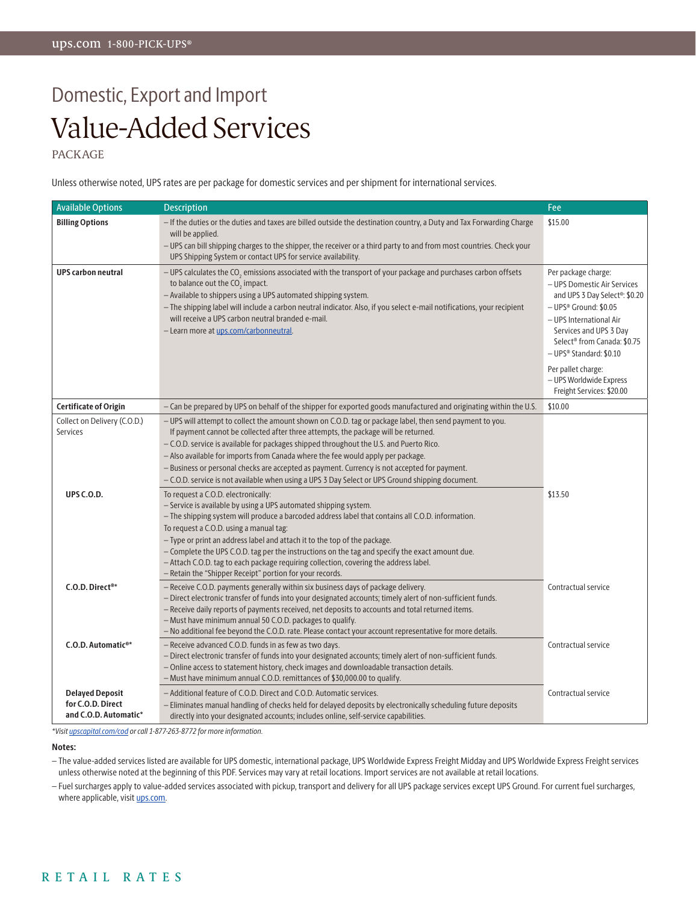PACKAGE

Unless otherwise noted, UPS rates are per package for domestic services and per shipment for international services.

| <b>Available Options</b>                                             | <b>Description</b>                                                                                                                                                                                                                                                                                                                                                                                                                                                                                                                                                                                                                                                                                                                                                                                                                                                                                                                                                                                                                                                                                                                                                               | Fee                                                                                                                                                                                                                                                      |
|----------------------------------------------------------------------|----------------------------------------------------------------------------------------------------------------------------------------------------------------------------------------------------------------------------------------------------------------------------------------------------------------------------------------------------------------------------------------------------------------------------------------------------------------------------------------------------------------------------------------------------------------------------------------------------------------------------------------------------------------------------------------------------------------------------------------------------------------------------------------------------------------------------------------------------------------------------------------------------------------------------------------------------------------------------------------------------------------------------------------------------------------------------------------------------------------------------------------------------------------------------------|----------------------------------------------------------------------------------------------------------------------------------------------------------------------------------------------------------------------------------------------------------|
| <b>Billing Options</b>                                               | - If the duties or the duties and taxes are billed outside the destination country, a Duty and Tax Forwarding Charge<br>will be applied.<br>- UPS can bill shipping charges to the shipper, the receiver or a third party to and from most countries. Check your<br>UPS Shipping System or contact UPS for service availability.                                                                                                                                                                                                                                                                                                                                                                                                                                                                                                                                                                                                                                                                                                                                                                                                                                                 | \$15.00                                                                                                                                                                                                                                                  |
| <b>UPS carbon neutral</b>                                            | - UPS calculates the CO, emissions associated with the transport of your package and purchases carbon offsets<br>to balance out the CO <sub>2</sub> impact.<br>- Available to shippers using a UPS automated shipping system.<br>- The shipping label will include a carbon neutral indicator. Also, if you select e-mail notifications, your recipient<br>will receive a UPS carbon neutral branded e-mail.<br>- Learn more at ups.com/carbonneutral.                                                                                                                                                                                                                                                                                                                                                                                                                                                                                                                                                                                                                                                                                                                           | Per package charge:<br>- UPS Domestic Air Services<br>and UPS 3 Day Select <sup>®</sup> : \$0.20<br>$-$ UPS® Ground: \$0.05<br>- UPS International Air<br>Services and UPS 3 Day<br>Select <sup>®</sup> from Canada: \$0.75<br>$-$ UPS® Standard: \$0.10 |
|                                                                      |                                                                                                                                                                                                                                                                                                                                                                                                                                                                                                                                                                                                                                                                                                                                                                                                                                                                                                                                                                                                                                                                                                                                                                                  | Per pallet charge:<br>- UPS Worldwide Express<br>Freight Services: \$20.00                                                                                                                                                                               |
| <b>Certificate of Origin</b>                                         | - Can be prepared by UPS on behalf of the shipper for exported goods manufactured and originating within the U.S.                                                                                                                                                                                                                                                                                                                                                                                                                                                                                                                                                                                                                                                                                                                                                                                                                                                                                                                                                                                                                                                                | \$10.00                                                                                                                                                                                                                                                  |
| Collect on Delivery (C.O.D.)<br>Services<br><b>UPS C.O.D.</b>        | - UPS will attempt to collect the amount shown on C.O.D. tag or package label, then send payment to you.<br>If payment cannot be collected after three attempts, the package will be returned.<br>- C.O.D. service is available for packages shipped throughout the U.S. and Puerto Rico.<br>- Also available for imports from Canada where the fee would apply per package.<br>- Business or personal checks are accepted as payment. Currency is not accepted for payment.<br>- C.O.D. service is not available when using a UPS 3 Day Select or UPS Ground shipping document.<br>To request a C.O.D. electronically:<br>- Service is available by using a UPS automated shipping system.<br>- The shipping system will produce a barcoded address label that contains all C.O.D. information.<br>To request a C.O.D. using a manual tag:<br>- Type or print an address label and attach it to the top of the package.<br>- Complete the UPS C.O.D. tag per the instructions on the tag and specify the exact amount due.<br>- Attach C.O.D. tag to each package requiring collection, covering the address label.<br>- Retain the "Shipper Receipt" portion for your records. | \$13.50                                                                                                                                                                                                                                                  |
| C.O.D. Direct®*                                                      | - Receive C.O.D. payments generally within six business days of package delivery.<br>- Direct electronic transfer of funds into your designated accounts; timely alert of non-sufficient funds.<br>- Receive daily reports of payments received, net deposits to accounts and total returned items.<br>- Must have minimum annual 50 C.O.D. packages to qualify.<br>- No additional fee beyond the C.O.D. rate. Please contact your account representative for more details.                                                                                                                                                                                                                                                                                                                                                                                                                                                                                                                                                                                                                                                                                                     | Contractual service                                                                                                                                                                                                                                      |
| C.O.D. Automatic <sup>®*</sup>                                       | - Receive advanced C.O.D. funds in as few as two days.<br>- Direct electronic transfer of funds into your designated accounts; timely alert of non-sufficient funds.<br>- Online access to statement history, check images and downloadable transaction details.<br>- Must have minimum annual C.O.D. remittances of \$30,000.00 to qualify.                                                                                                                                                                                                                                                                                                                                                                                                                                                                                                                                                                                                                                                                                                                                                                                                                                     | Contractual service                                                                                                                                                                                                                                      |
| <b>Delayed Deposit</b><br>for C.O.D. Direct<br>and C.O.D. Automatic* | - Additional feature of C.O.D. Direct and C.O.D. Automatic services.<br>- Eliminates manual handling of checks held for delayed deposits by electronically scheduling future deposits<br>directly into your designated accounts; includes online, self-service capabilities.                                                                                                                                                                                                                                                                                                                                                                                                                                                                                                                                                                                                                                                                                                                                                                                                                                                                                                     | Contractual service                                                                                                                                                                                                                                      |

*\*Visit [upscapital.com/cod](http://www.upscapital.com/cod) or call 1-877-263-8772 for more information.*

#### **Notes:**

– The value-added services listed are available for UPS domestic, international package, UPS Worldwide Express Freight Midday and UPS Worldwide Express Freight services unless otherwise noted at the beginning of this PDF. Services may vary at retail locations. Import services are not available at retail locations.

– Fuel surcharges apply to value-added services associated with pickup, transport and delivery for all UPS package services except UPS Ground. For current fuel surcharges, where applicable, visi[t ups.com.](http://www.ups.com)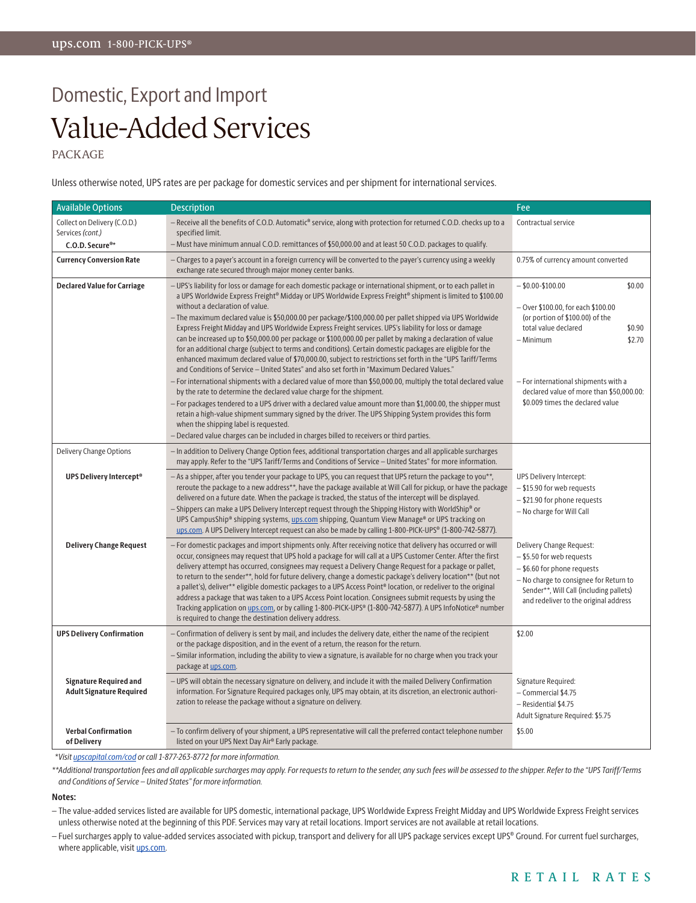PACKAGE

Unless otherwise noted, UPS rates are per package for domestic services and per shipment for international services.

| <b>Available Options</b>                                            | <b>Description</b>                                                                                                                                                                                                                                                                                                                                                                                                                                                                                                                                                                                                                                                                                                                                                                                                                                                                                                            | Fee                                                                                                                                                                                                              |  |  |
|---------------------------------------------------------------------|-------------------------------------------------------------------------------------------------------------------------------------------------------------------------------------------------------------------------------------------------------------------------------------------------------------------------------------------------------------------------------------------------------------------------------------------------------------------------------------------------------------------------------------------------------------------------------------------------------------------------------------------------------------------------------------------------------------------------------------------------------------------------------------------------------------------------------------------------------------------------------------------------------------------------------|------------------------------------------------------------------------------------------------------------------------------------------------------------------------------------------------------------------|--|--|
| Collect on Delivery (C.O.D.)<br>Services (cont.)<br>C.O.D. Secure®* | - Receive all the benefits of C.O.D. Automatic® service, along with protection for returned C.O.D. checks up to a<br>specified limit.<br>- Must have minimum annual C.O.D. remittances of \$50,000.00 and at least 50 C.O.D. packages to qualify.                                                                                                                                                                                                                                                                                                                                                                                                                                                                                                                                                                                                                                                                             | Contractual service                                                                                                                                                                                              |  |  |
| <b>Currency Conversion Rate</b>                                     | - Charges to a payer's account in a foreign currency will be converted to the payer's currency using a weekly<br>exchange rate secured through major money center banks.                                                                                                                                                                                                                                                                                                                                                                                                                                                                                                                                                                                                                                                                                                                                                      | 0.75% of currency amount converted                                                                                                                                                                               |  |  |
| <b>Declared Value for Carriage</b>                                  | - UPS's liability for loss or damage for each domestic package or international shipment, or to each pallet in<br>a UPS Worldwide Express Freight® Midday or UPS Worldwide Express Freight® shipment is limited to \$100.00<br>without a declaration of value.<br>- The maximum declared value is \$50,000.00 per package/\$100,000.00 per pallet shipped via UPS Worldwide<br>Express Freight Midday and UPS Worldwide Express Freight services. UPS's liability for loss or damage<br>can be increased up to \$50,000.00 per package or \$100,000.00 per pallet by making a declaration of value<br>for an additional charge (subject to terms and conditions). Certain domestic packages are eligible for the<br>enhanced maximum declared value of \$70,000.00, subject to restrictions set forth in the "UPS Tariff/Terms<br>and Conditions of Service - United States" and also set forth in "Maximum Declared Values." | $-$ \$0.00-\$100.00<br>\$0.00<br>- Over \$100.00, for each \$100.00<br>(or portion of \$100.00) of the<br>total value declared<br>\$0.90<br>\$2.70<br>- Minimum                                                  |  |  |
|                                                                     | - For international shipments with a declared value of more than \$50,000.00, multiply the total declared value<br>by the rate to determine the declared value charge for the shipment.<br>- For packages tendered to a UPS driver with a declared value amount more than \$1,000.00, the shipper must<br>retain a high-value shipment summary signed by the driver. The UPS Shipping System provides this form<br>when the shipping label is requested.<br>- Declared value charges can be included in charges billed to receivers or third parties.                                                                                                                                                                                                                                                                                                                                                                         | - For international shipments with a<br>declared value of more than \$50,000.00:<br>\$0.009 times the declared value                                                                                             |  |  |
| <b>Delivery Change Options</b>                                      | - In addition to Delivery Change Option fees, additional transportation charges and all applicable surcharges<br>may apply. Refer to the "UPS Tariff/Terms and Conditions of Service - United States" for more information.                                                                                                                                                                                                                                                                                                                                                                                                                                                                                                                                                                                                                                                                                                   |                                                                                                                                                                                                                  |  |  |
| <b>UPS Delivery Intercept®</b>                                      | - As a shipper, after you tender your package to UPS, you can request that UPS return the package to you**,<br>reroute the package to a new address**, have the package available at Will Call for pickup, or have the package<br>delivered on a future date. When the package is tracked, the status of the intercept will be displayed.<br>- Shippers can make a UPS Delivery Intercept request through the Shipping History with WorldShip® or<br>UPS CampusShip® shipping systems, ups.com shipping, Quantum View Manage® or UPS tracking on<br>ups.com. A UPS Delivery Intercept request can also be made by calling 1-800-PICK-UPS® (1-800-742-5877).                                                                                                                                                                                                                                                                   | UPS Delivery Intercept:<br>-\$15.90 for web requests<br>- \$21.90 for phone requests<br>- No charge for Will Call                                                                                                |  |  |
| <b>Delivery Change Request</b>                                      | - For domestic packages and import shipments only. After receiving notice that delivery has occurred or will<br>occur, consignees may request that UPS hold a package for will call at a UPS Customer Center. After the first<br>delivery attempt has occurred, consignees may request a Delivery Change Request for a package or pallet,<br>to return to the sender**, hold for future delivery, change a domestic package's delivery location** (but not<br>a pallet's), deliver** eligible domestic packages to a UPS Access Point® location, or redeliver to the original<br>address a package that was taken to a UPS Access Point location. Consignees submit requests by using the<br>Tracking application on ups.com, or by calling 1-800-PICK-UPS® (1-800-742-5877). A UPS InfoNotice® number<br>is required to change the destination delivery address.                                                             | Delivery Change Request:<br>-\$5.50 for web requests<br>-\$6.60 for phone requests<br>- No charge to consignee for Return to<br>Sender**, Will Call (including pallets)<br>and redeliver to the original address |  |  |
| <b>UPS Delivery Confirmation</b>                                    | - Confirmation of delivery is sent by mail, and includes the delivery date, either the name of the recipient<br>or the package disposition, and in the event of a return, the reason for the return.<br>- Similar information, including the ability to view a signature, is available for no charge when you track your<br>package at ups.com.                                                                                                                                                                                                                                                                                                                                                                                                                                                                                                                                                                               | \$2.00                                                                                                                                                                                                           |  |  |
| <b>Signature Required and</b><br><b>Adult Signature Required</b>    | - UPS will obtain the necessary signature on delivery, and include it with the mailed Delivery Confirmation<br>Signature Required:<br>information. For Signature Required packages only, UPS may obtain, at its discretion, an electronic authori-<br>- Commercial \$4.75<br>zation to release the package without a signature on delivery.<br>- Residential \$4.75<br>Adult Signature Required: \$5.75                                                                                                                                                                                                                                                                                                                                                                                                                                                                                                                       |                                                                                                                                                                                                                  |  |  |
| <b>Verbal Confirmation</b><br>of Delivery                           | - To confirm delivery of your shipment, a UPS representative will call the preferred contact telephone number<br>listed on your UPS Next Day Air® Early package.                                                                                                                                                                                                                                                                                                                                                                                                                                                                                                                                                                                                                                                                                                                                                              | \$5.00                                                                                                                                                                                                           |  |  |

*\*Visi[t upscapital.com/cod or](http://www.upscapital.com/cod) call 1-877-263-8772 for more information.*

\*\*Additional transportation fees and all applicable surcharges may apply. For requests to return to the sender, any such fees will be assessed to the shipper. Refer to the "UPS Tariff/Terms *and Conditions of Service – United States" for more information.*

#### **Notes:**

– The value-added services listed are available for UPS domestic, international package, UPS Worldwide Express Freight Midday and UPS Worldwide Express Freight services unless otherwise noted at the beginning of this PDF. Services may vary at retail locations. Import services are not available at retail locations.

– Fuel surcharges apply to value-added services associated with pickup, transport and delivery for all UPS package services except UPS® Ground. For current fuel surcharges, where applicable, visi[t ups.com.](http://www.ups.com)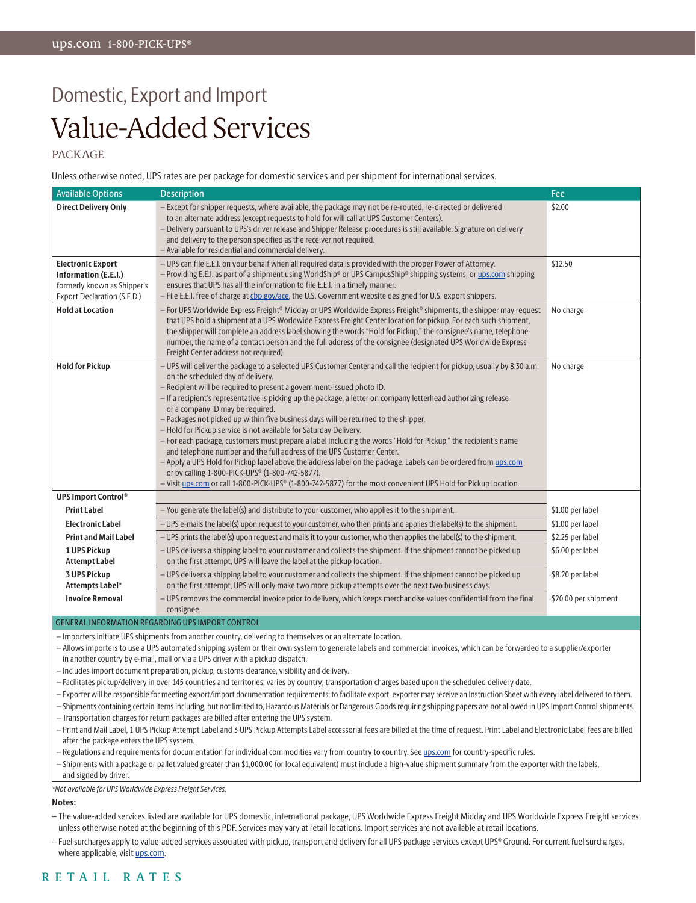PACKAGE

Unless otherwise noted, UPS rates are per package for domestic services and per shipment for international services.

| <b>Available Options</b>                                                                                                                                                                                                                                                                                                                                                                                                                                                                                                                                                                                                                                                                                                                                                                                                      | <b>Description</b>                                                                                                                                                                                                                                                                                                                                                                                                                                                                                                                                                                                                                                                                                                                                                                                                                                                                                                                                                                                                                          | Fee                  |  |  |  |
|-------------------------------------------------------------------------------------------------------------------------------------------------------------------------------------------------------------------------------------------------------------------------------------------------------------------------------------------------------------------------------------------------------------------------------------------------------------------------------------------------------------------------------------------------------------------------------------------------------------------------------------------------------------------------------------------------------------------------------------------------------------------------------------------------------------------------------|---------------------------------------------------------------------------------------------------------------------------------------------------------------------------------------------------------------------------------------------------------------------------------------------------------------------------------------------------------------------------------------------------------------------------------------------------------------------------------------------------------------------------------------------------------------------------------------------------------------------------------------------------------------------------------------------------------------------------------------------------------------------------------------------------------------------------------------------------------------------------------------------------------------------------------------------------------------------------------------------------------------------------------------------|----------------------|--|--|--|
| <b>Direct Delivery Only</b>                                                                                                                                                                                                                                                                                                                                                                                                                                                                                                                                                                                                                                                                                                                                                                                                   | - Except for shipper requests, where available, the package may not be re-routed, re-directed or delivered<br>to an alternate address (except requests to hold for will call at UPS Customer Centers).<br>- Delivery pursuant to UPS's driver release and Shipper Release procedures is still available. Signature on delivery<br>and delivery to the person specified as the receiver not required.<br>- Available for residential and commercial delivery.                                                                                                                                                                                                                                                                                                                                                                                                                                                                                                                                                                                | \$2.00               |  |  |  |
| <b>Electronic Export</b><br>Information (E.E.I.)<br>formerly known as Shipper's<br>Export Declaration (S.E.D.)                                                                                                                                                                                                                                                                                                                                                                                                                                                                                                                                                                                                                                                                                                                | - UPS can file E.E.I. on your behalf when all required data is provided with the proper Power of Attorney.<br>- Providing E.E.I. as part of a shipment using WorldShip® or UPS CampusShip® shipping systems, or ups.com shipping<br>ensures that UPS has all the information to file E.E.I. in a timely manner.<br>- File E.E.I. free of charge at cbp.gov/ace, the U.S. Government website designed for U.S. export shippers.                                                                                                                                                                                                                                                                                                                                                                                                                                                                                                                                                                                                              | \$12.50              |  |  |  |
| <b>Hold at Location</b>                                                                                                                                                                                                                                                                                                                                                                                                                                                                                                                                                                                                                                                                                                                                                                                                       | - For UPS Worldwide Express Freight® Midday or UPS Worldwide Express Freight® shipments, the shipper may request<br>that UPS hold a shipment at a UPS Worldwide Express Freight Center location for pickup. For each such shipment,<br>the shipper will complete an address label showing the words "Hold for Pickup," the consignee's name, telephone<br>number, the name of a contact person and the full address of the consignee (designated UPS Worldwide Express<br>Freight Center address not required).                                                                                                                                                                                                                                                                                                                                                                                                                                                                                                                             | No charge            |  |  |  |
| <b>Hold for Pickup</b>                                                                                                                                                                                                                                                                                                                                                                                                                                                                                                                                                                                                                                                                                                                                                                                                        | - UPS will deliver the package to a selected UPS Customer Center and call the recipient for pickup, usually by 8:30 a.m.<br>on the scheduled day of delivery.<br>- Recipient will be required to present a government-issued photo ID.<br>- If a recipient's representative is picking up the package, a letter on company letterhead authorizing release<br>or a company ID may be required.<br>- Packages not picked up within five business days will be returned to the shipper.<br>- Hold for Pickup service is not available for Saturday Delivery.<br>- For each package, customers must prepare a label including the words "Hold for Pickup," the recipient's name<br>and telephone number and the full address of the UPS Customer Center.<br>- Apply a UPS Hold for Pickup label above the address label on the package. Labels can be ordered from ups.com<br>or by calling 1-800-PICK-UPS® (1-800-742-5877).<br>- Visit ups.com or call 1-800-PICK-UPS® (1-800-742-5877) for the most convenient UPS Hold for Pickup location. | No charge            |  |  |  |
| <b>UPS Import Control</b> <sup>®</sup>                                                                                                                                                                                                                                                                                                                                                                                                                                                                                                                                                                                                                                                                                                                                                                                        |                                                                                                                                                                                                                                                                                                                                                                                                                                                                                                                                                                                                                                                                                                                                                                                                                                                                                                                                                                                                                                             |                      |  |  |  |
| <b>Print Label</b>                                                                                                                                                                                                                                                                                                                                                                                                                                                                                                                                                                                                                                                                                                                                                                                                            | - You generate the label(s) and distribute to your customer, who applies it to the shipment.                                                                                                                                                                                                                                                                                                                                                                                                                                                                                                                                                                                                                                                                                                                                                                                                                                                                                                                                                | \$1.00 per label     |  |  |  |
| <b>Electronic Label</b>                                                                                                                                                                                                                                                                                                                                                                                                                                                                                                                                                                                                                                                                                                                                                                                                       | - UPS e-mails the label(s) upon request to your customer, who then prints and applies the label(s) to the shipment.                                                                                                                                                                                                                                                                                                                                                                                                                                                                                                                                                                                                                                                                                                                                                                                                                                                                                                                         | \$1.00 per label     |  |  |  |
| <b>Print and Mail Label</b>                                                                                                                                                                                                                                                                                                                                                                                                                                                                                                                                                                                                                                                                                                                                                                                                   | - UPS prints the label(s) upon request and mails it to your customer, who then applies the label(s) to the shipment.                                                                                                                                                                                                                                                                                                                                                                                                                                                                                                                                                                                                                                                                                                                                                                                                                                                                                                                        | \$2.25 per label     |  |  |  |
| <b>1 UPS Pickup</b><br><b>Attempt Label</b>                                                                                                                                                                                                                                                                                                                                                                                                                                                                                                                                                                                                                                                                                                                                                                                   | - UPS delivers a shipping label to your customer and collects the shipment. If the shipment cannot be picked up<br>on the first attempt, UPS will leave the label at the pickup location.                                                                                                                                                                                                                                                                                                                                                                                                                                                                                                                                                                                                                                                                                                                                                                                                                                                   | \$6.00 per label     |  |  |  |
| <b>3 UPS Pickup</b><br>Attempts Label*                                                                                                                                                                                                                                                                                                                                                                                                                                                                                                                                                                                                                                                                                                                                                                                        | - UPS delivers a shipping label to your customer and collects the shipment. If the shipment cannot be picked up<br>on the first attempt, UPS will only make two more pickup attempts over the next two business days.                                                                                                                                                                                                                                                                                                                                                                                                                                                                                                                                                                                                                                                                                                                                                                                                                       | \$8.20 per label     |  |  |  |
| <b>Invoice Removal</b>                                                                                                                                                                                                                                                                                                                                                                                                                                                                                                                                                                                                                                                                                                                                                                                                        | - UPS removes the commercial invoice prior to delivery, which keeps merchandise values confidential from the final<br>consignee.                                                                                                                                                                                                                                                                                                                                                                                                                                                                                                                                                                                                                                                                                                                                                                                                                                                                                                            | \$20.00 per shipment |  |  |  |
|                                                                                                                                                                                                                                                                                                                                                                                                                                                                                                                                                                                                                                                                                                                                                                                                                               | <b>GENERAL INFORMATION REGARDING UPS IMPORT CONTROL</b>                                                                                                                                                                                                                                                                                                                                                                                                                                                                                                                                                                                                                                                                                                                                                                                                                                                                                                                                                                                     |                      |  |  |  |
| - Importers initiate UPS shipments from another country, delivering to themselves or an alternate location.<br>- Allows importers to use a UPS automated shipping system or their own system to generate labels and commercial invoices, which can be forwarded to a supplier/exporter<br>in another country by e-mail, mail or via a UPS driver with a pickup dispatch.<br>- Includes import document preparation, pickup, customs clearance, visibility and delivery.<br>- Facilitates pickup/delivery in over 145 countries and territories; varies by country; transportation charges based upon the scheduled delivery date.<br>- Exporter will be responsible for meeting export/import documentation requirements; to facilitate export, exporter may receive an Instruction Sheet with every label delivered to them. |                                                                                                                                                                                                                                                                                                                                                                                                                                                                                                                                                                                                                                                                                                                                                                                                                                                                                                                                                                                                                                             |                      |  |  |  |

- Shipments containing certain items including, but not limited to, Hazardous Materials or Dangerous Goods requiring shipping papers are not allowed in UPS Import Control shipments.
- Transportation charges for return packages are billed after entering the UPS system.
- Print and Mail Label, 1 UPS Pickup Attempt Label and 3 UPS Pickup Attempts Label accessorial fees are billed at the time of request. Print Label and Electronic Label fees are billed after the package enters the UPS system.
- Regulations and requirements for documentation for individual commodities vary from country to country. See [ups.com fo](http://www.ups.com)r country-specific rules.
- Shipments with a package or pallet valued greater than \$1,000.00 (or local equivalent) must include a high-value shipment summary from the exporter with the labels, and signed by driver.

*\*Not available for UPS Worldwide Express Freight Services.*

#### **Notes:**

- The value-added services listed are available for UPS domestic, international package, UPS Worldwide Express Freight Midday and UPS Worldwide Express Freight services unless otherwise noted at the beginning of this PDF. Services may vary at retail locations. Import services are not available at retail locations.
- Fuel surcharges apply to value-added services associated with pickup, transport and delivery for all UPS package services except UPS® Ground. For current fuel surcharges, where applicable, visit [ups.com.](http://www.ups.com)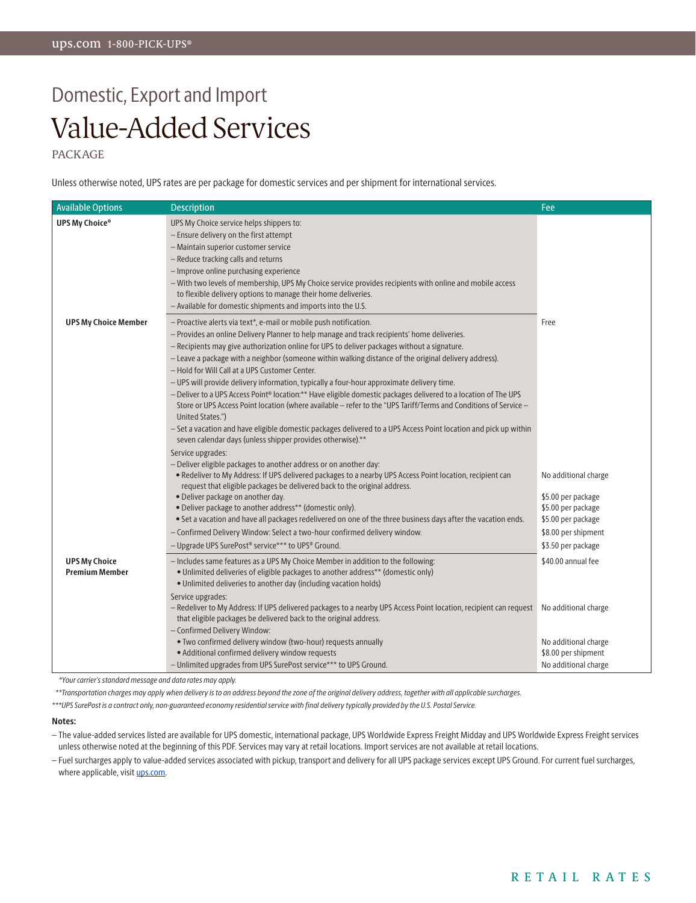PACKAGE

Unless otherwise noted, UPS rates are per package for domestic services and per shipment for international services.

| <b>Available Options</b>    | <b>Description</b>                                                                                                                                                                                                                  | Fee                                      |
|-----------------------------|-------------------------------------------------------------------------------------------------------------------------------------------------------------------------------------------------------------------------------------|------------------------------------------|
| <b>UPS My Choice®</b>       | UPS My Choice service helps shippers to:                                                                                                                                                                                            |                                          |
|                             | - Ensure delivery on the first attempt                                                                                                                                                                                              |                                          |
|                             | - Maintain superior customer service                                                                                                                                                                                                |                                          |
|                             | - Reduce tracking calls and returns                                                                                                                                                                                                 |                                          |
|                             | - Improve online purchasing experience                                                                                                                                                                                              |                                          |
|                             | - With two levels of membership, UPS My Choice service provides recipients with online and mobile access                                                                                                                            |                                          |
|                             | to flexible delivery options to manage their home deliveries.                                                                                                                                                                       |                                          |
|                             | - Available for domestic shipments and imports into the U.S.                                                                                                                                                                        |                                          |
| <b>UPS My Choice Member</b> | - Proactive alerts via text*, e-mail or mobile push notification.                                                                                                                                                                   | Free                                     |
|                             | - Provides an online Delivery Planner to help manage and track recipients' home deliveries.                                                                                                                                         |                                          |
|                             | - Recipients may give authorization online for UPS to deliver packages without a signature.                                                                                                                                         |                                          |
|                             | - Leave a package with a neighbor (someone within walking distance of the original delivery address).                                                                                                                               |                                          |
|                             | - Hold for Will Call at a UPS Customer Center.                                                                                                                                                                                      |                                          |
|                             | - UPS will provide delivery information, typically a four-hour approximate delivery time.                                                                                                                                           |                                          |
|                             | - Deliver to a UPS Access Point® location:** Have eligible domestic packages delivered to a location of The UPS<br>Store or UPS Access Point location (where available - refer to the "UPS Tariff/Terms and Conditions of Service - |                                          |
|                             | United States.")                                                                                                                                                                                                                    |                                          |
|                             | - Set a vacation and have eligible domestic packages delivered to a UPS Access Point location and pick up within                                                                                                                    |                                          |
|                             | seven calendar days (unless shipper provides otherwise).**                                                                                                                                                                          |                                          |
|                             | Service upgrades:                                                                                                                                                                                                                   |                                          |
|                             | - Deliver eligible packages to another address or on another day:                                                                                                                                                                   |                                          |
|                             | . Redeliver to My Address: If UPS delivered packages to a nearby UPS Access Point location, recipient can                                                                                                                           | No additional charge                     |
|                             | request that eligible packages be delivered back to the original address.                                                                                                                                                           |                                          |
|                             | · Deliver package on another day.                                                                                                                                                                                                   | \$5.00 per package<br>\$5.00 per package |
|                             | · Deliver package to another address** (domestic only).<br>• Set a vacation and have all packages redelivered on one of the three business days after the vacation ends.                                                            | \$5.00 per package                       |
|                             | - Confirmed Delivery Window: Select a two-hour confirmed delivery window.                                                                                                                                                           | \$8.00 per shipment                      |
|                             | - Upgrade UPS SurePost® service*** to UPS® Ground.                                                                                                                                                                                  | \$3.50 per package                       |
|                             |                                                                                                                                                                                                                                     |                                          |
| <b>UPS My Choice</b>        | - Includes same features as a UPS My Choice Member in addition to the following:                                                                                                                                                    | \$40.00 annual fee                       |
| <b>Premium Member</b>       | • Unlimited deliveries of eligible packages to another address** (domestic only)<br>• Unlimited deliveries to another day (including vacation holds)                                                                                |                                          |
|                             | Service upgrades:                                                                                                                                                                                                                   |                                          |
|                             | - Redeliver to My Address: If UPS delivered packages to a nearby UPS Access Point location, recipient can request No additional charge                                                                                              |                                          |
|                             | that eligible packages be delivered back to the original address.                                                                                                                                                                   |                                          |
|                             | - Confirmed Delivery Window:                                                                                                                                                                                                        |                                          |
|                             | . Two confirmed delivery window (two-hour) requests annually                                                                                                                                                                        | No additional charge                     |
|                             | • Additional confirmed delivery window requests                                                                                                                                                                                     | \$8.00 per shipment                      |
|                             | - Unlimited upgrades from UPS SurePost service*** to UPS Ground.                                                                                                                                                                    | No additional charge                     |

*\*Your carrier's standard message and data rates may apply.*

*\*\*Transportation charges may apply when delivery is to an address beyond the zone of the original delivery address, together with all applicable surcharges.*

*\*\*\*UPS SurePost is a contract only, non-guaranteed economy residential service with final delivery typically provided by the U.S. Postal Service.*

#### **Notes:**

– The value-added services listed are available for UPS domestic, international package, UPS Worldwide Express Freight Midday and UPS Worldwide Express Freight services unless otherwise noted at the beginning of this PDF. Services may vary at retail locations. Import services are not available at retail locations.

– Fuel surcharges apply to value-added services associated with pickup, transport and delivery for all UPS package services except UPS Ground. For current fuel surcharges, where applicable, vis[it ups.com.](http://www.ups.com)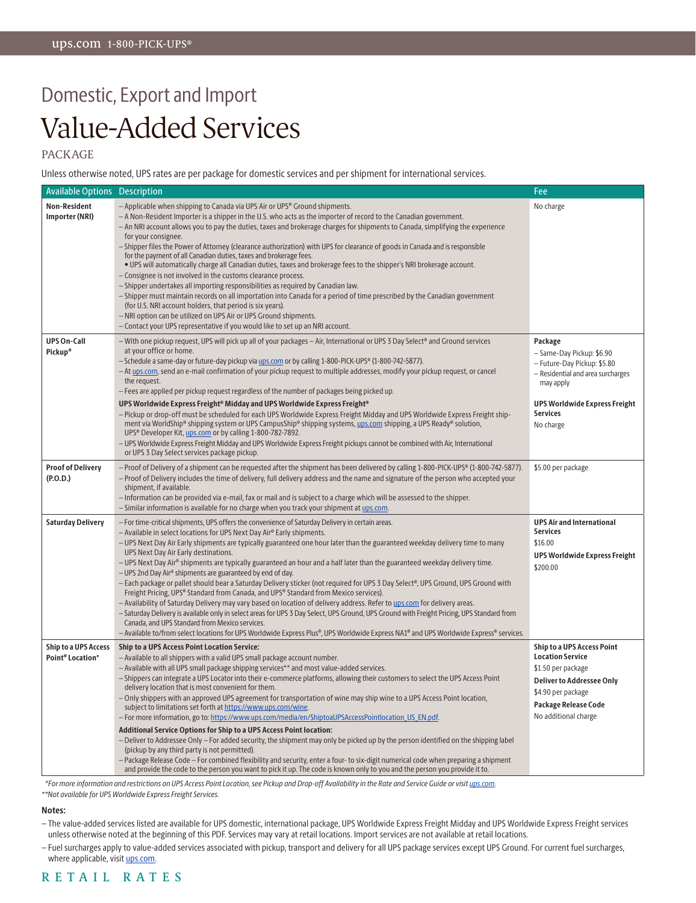PACKAGE

Unless otherwise noted, UPS rates are per package for domestic services and per shipment for international services.

| <b>Available Options Description</b>                        |                                                                                                                                                                                                                                                                                                                                                                                                                                                                                                                                                                                                                                                                                                                                                                                                                                                                                                                                                                                                                                                                                                                                                                                                                                                                  | Fee                                                                                                                                                                                           |
|-------------------------------------------------------------|------------------------------------------------------------------------------------------------------------------------------------------------------------------------------------------------------------------------------------------------------------------------------------------------------------------------------------------------------------------------------------------------------------------------------------------------------------------------------------------------------------------------------------------------------------------------------------------------------------------------------------------------------------------------------------------------------------------------------------------------------------------------------------------------------------------------------------------------------------------------------------------------------------------------------------------------------------------------------------------------------------------------------------------------------------------------------------------------------------------------------------------------------------------------------------------------------------------------------------------------------------------|-----------------------------------------------------------------------------------------------------------------------------------------------------------------------------------------------|
| Non-Resident<br>Importer (NRI)                              | - Applicable when shipping to Canada via UPS Air or UPS® Ground shipments.<br>- A Non-Resident Importer is a shipper in the U.S. who acts as the importer of record to the Canadian government.<br>- An NRI account allows you to pay the duties, taxes and brokerage charges for shipments to Canada, simplifying the experience<br>for your consignee.<br>- Shipper files the Power of Attorney (clearance authorization) with UPS for clearance of goods in Canada and is responsible<br>for the payment of all Canadian duties, taxes and brokerage fees.<br>. UPS will automatically charge all Canadian duties, taxes and brokerage fees to the shipper's NRI brokerage account.<br>- Consignee is not involved in the customs clearance process.<br>- Shipper undertakes all importing responsibilities as required by Canadian law.<br>- Shipper must maintain records on all importation into Canada for a period of time prescribed by the Canadian government<br>(for U.S. NRI account holders, that period is six years).<br>- NRI option can be utilized on UPS Air or UPS Ground shipments.<br>- Contact your UPS representative if you would like to set up an NRI account.                                                                       | No charge                                                                                                                                                                                     |
| <b>UPS On-Call</b><br>Pickup <sup>®</sup>                   | - With one pickup request, UPS will pick up all of your packages - Air, International or UPS 3 Day Select® and Ground services<br>at your office or home.<br>- Schedule a same-day or future-day pickup via ups.com or by calling 1-800-PICK-UPS® (1-800-742-5877).<br>- At ups.com, send an e-mail confirmation of your pickup request to multiple addresses, modify your pickup request, or cancel<br>the request.<br>- Fees are applied per pickup request regardless of the number of packages being picked up.<br>UPS Worldwide Express Freight® Midday and UPS Worldwide Express Freight®<br>- Pickup or drop-off must be scheduled for each UPS Worldwide Express Freight Midday and UPS Worldwide Express Freight ship-<br>ment via WorldShip® shipping system or UPS CampusShip® shipping systems, ups.com shipping, a UPS Ready® solution,<br>UPS® Developer Kit, ups.com or by calling 1-800-782-7892.<br>- UPS Worldwide Express Freight Midday and UPS Worldwide Express Freight pickups cannot be combined with Air, International<br>or UPS 3 Day Select services package pickup.                                                                                                                                                                 | Package<br>- Same-Day Pickup: \$6.90<br>- Future-Day Pickup: \$5.80<br>- Residential and area surcharges<br>may apply<br><b>UPS Worldwide Express Freight</b><br><b>Services</b><br>No charge |
| <b>Proof of Delivery</b><br>(P.O.D.)                        | - Proof of Delivery of a shipment can be requested after the shipment has been delivered by calling 1-800-PICK-UPS® (1-800-742-5877).<br>- Proof of Delivery includes the time of delivery, full delivery address and the name and signature of the person who accepted your<br>shipment, if available.<br>- Information can be provided via e-mail, fax or mail and is subject to a charge which will be assessed to the shipper.<br>- Similar information is available for no charge when you track your shipment at ups.com.                                                                                                                                                                                                                                                                                                                                                                                                                                                                                                                                                                                                                                                                                                                                  | \$5.00 per package                                                                                                                                                                            |
| <b>Saturday Delivery</b>                                    | - For time-critical shipments, UPS offers the convenience of Saturday Delivery in certain areas.<br>- Available in select locations for UPS Next Day Air® Early shipments.<br>- UPS Next Day Air Early shipments are typically guaranteed one hour later than the guaranteed weekday delivery time to many<br>UPS Next Day Air Early destinations.<br>- UPS Next Day Air® shipments are typically guaranteed an hour and a half later than the guaranteed weekday delivery time.<br>- UPS 2nd Day Air® shipments are guaranteed by end of day.<br>- Each package or pallet should bear a Saturday Delivery sticker (not required for UPS 3 Day Select <sup>®</sup> , UPS Ground, UPS Ground with<br>Freight Pricing, UPS® Standard from Canada, and UPS® Standard from Mexico services).<br>- Availability of Saturday Delivery may vary based on location of delivery address. Refer to ups.com for delivery areas.<br>- Saturday Delivery is available only in select areas for UPS 3 Day Select, UPS Ground, UPS Ground with Freight Pricing, UPS Standard from<br>Canada, and UPS Standard from Mexico services.<br>- Available to/from select locations for UPS Worldwide Express Plus®, UPS Worldwide Express NA1® and UPS Worldwide Express® services.    | <b>UPS Air and International</b><br><b>Services</b><br>\$16.00<br><b>UPS Worldwide Express Freight</b><br>\$200.00                                                                            |
| <b>Ship to a UPS Access</b><br>Point <sup>®</sup> Location* | <b>Ship to a UPS Access Point Location Service:</b><br>- Available to all shippers with a valid UPS small package account number.<br>- Available with all UPS small package shipping services** and most value-added services.<br>- Shippers can integrate a UPS Locator into their e-commerce platforms, allowing their customers to select the UPS Access Point<br>delivery location that is most convenient for them.<br>- Only shippers with an approved UPS agreement for transportation of wine may ship wine to a UPS Access Point location,<br>subject to limitations set forth at https://www.ups.com/wine.<br>- For more information, go to: https://www.ups.com/media/en/ShiptoaUPSAccessPointlocation US EN.pdf.<br>Additional Service Options for Ship to a UPS Access Point location:<br>- Deliver to Addressee Only - For added security, the shipment may only be picked up by the person identified on the shipping label<br>(pickup by any third party is not permitted).<br>- Package Release Code - For combined flexibility and security, enter a four- to six-digit numerical code when preparing a shipment<br>and provide the code to the person you want to pick it up. The code is known only to you and the person you provide it to. | <b>Ship to a UPS Access Point</b><br><b>Location Service</b><br>\$1.50 per package<br><b>Deliver to Addressee Only</b><br>\$4.90 per package<br>Package Release Code<br>No additional charge  |

*\*For more information and restrictions on UPS Access Point Location, see Pickup and Drop-off Availability in the Rate and Service Guide or visi[t ups.com.](http://www.ups.com)*

*\*\*Not available for UPS Worldwide Express Freight Services.*

#### **Notes:**

– The value-added services listed are available for UPS domestic, international package, UPS Worldwide Express Freight Midday and UPS Worldwide Express Freight services unless otherwise noted at the beginning of this PDF. Services may vary at retail locations. Import services are not available at retail locations.

– Fuel surcharges apply to value-added services associated with pickup, transport and delivery for all UPS package services except UPS Ground. For current fuel surcharges, where applicable, visit [ups.com.](http://www.ups.com)

#### R E T A I L R A T E S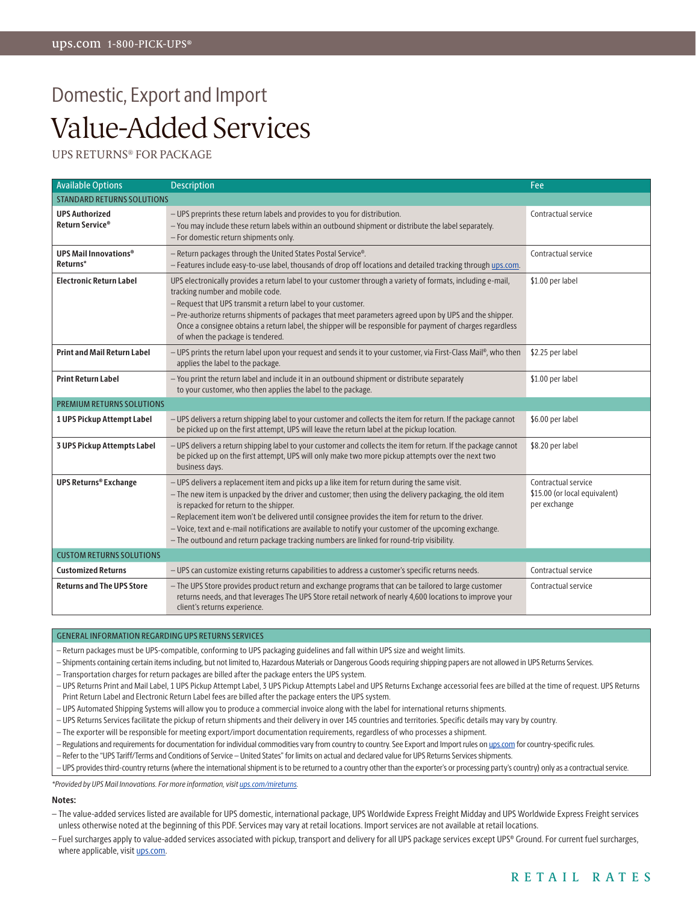UPS RETURNS® FOR PACKAGE

| <b>Available Options</b>                 | Fee                                                                                                                                                                                                                                                                                                                                                                                                                                                                                                                                                         |                                                                      |
|------------------------------------------|-------------------------------------------------------------------------------------------------------------------------------------------------------------------------------------------------------------------------------------------------------------------------------------------------------------------------------------------------------------------------------------------------------------------------------------------------------------------------------------------------------------------------------------------------------------|----------------------------------------------------------------------|
| <b>STANDARD RETURNS SOLUTIONS</b>        |                                                                                                                                                                                                                                                                                                                                                                                                                                                                                                                                                             |                                                                      |
| <b>UPS Authorized</b><br>Return Service® | - UPS preprints these return labels and provides to you for distribution.<br>Contractual service<br>- You may include these return labels within an outbound shipment or distribute the label separately.<br>- For domestic return shipments only.                                                                                                                                                                                                                                                                                                          |                                                                      |
| <b>UPS Mail Innovations®</b><br>Returns* | - Return packages through the United States Postal Service®.<br>- Features include easy-to-use label, thousands of drop off locations and detailed tracking through ups.com.                                                                                                                                                                                                                                                                                                                                                                                | Contractual service                                                  |
| <b>Electronic Return Label</b>           | UPS electronically provides a return label to your customer through a variety of formats, including e-mail,<br>tracking number and mobile code.<br>- Request that UPS transmit a return label to your customer.<br>- Pre-authorize returns shipments of packages that meet parameters agreed upon by UPS and the shipper.<br>Once a consignee obtains a return label, the shipper will be responsible for payment of charges regardless<br>of when the package is tendered.                                                                                 | \$1.00 per label                                                     |
| <b>Print and Mail Return Label</b>       | - UPS prints the return label upon your request and sends it to your customer, via First-Class Mail®, who then<br>applies the label to the package.                                                                                                                                                                                                                                                                                                                                                                                                         | \$2.25 per label                                                     |
| <b>Print Return Label</b>                | - You print the return label and include it in an outbound shipment or distribute separately<br>to your customer, who then applies the label to the package.                                                                                                                                                                                                                                                                                                                                                                                                | \$1.00 per label                                                     |
| <b>PREMIUM RETURNS SOLUTIONS</b>         |                                                                                                                                                                                                                                                                                                                                                                                                                                                                                                                                                             |                                                                      |
| 1 UPS Pickup Attempt Label               | - UPS delivers a return shipping label to your customer and collects the item for return. If the package cannot<br>be picked up on the first attempt, UPS will leave the return label at the pickup location.                                                                                                                                                                                                                                                                                                                                               | \$6.00 per label                                                     |
| 3 UPS Pickup Attempts Label              | - UPS delivers a return shipping label to your customer and collects the item for return. If the package cannot<br>be picked up on the first attempt, UPS will only make two more pickup attempts over the next two<br>business days.                                                                                                                                                                                                                                                                                                                       | \$8.20 per label                                                     |
| <b>UPS Returns® Exchange</b>             | - UPS delivers a replacement item and picks up a like item for return during the same visit.<br>- The new item is unpacked by the driver and customer; then using the delivery packaging, the old item<br>is repacked for return to the shipper.<br>- Replacement item won't be delivered until consignee provides the item for return to the driver.<br>- Voice, text and e-mail notifications are available to notify your customer of the upcoming exchange.<br>- The outbound and return package tracking numbers are linked for round-trip visibility. | Contractual service<br>\$15.00 (or local equivalent)<br>per exchange |
| <b>CUSTOM RETURNS SOLUTIONS</b>          |                                                                                                                                                                                                                                                                                                                                                                                                                                                                                                                                                             |                                                                      |
| <b>Customized Returns</b>                | - UPS can customize existing returns capabilities to address a customer's specific returns needs.                                                                                                                                                                                                                                                                                                                                                                                                                                                           | Contractual service                                                  |
| <b>Returns and The UPS Store</b>         | - The UPS Store provides product return and exchange programs that can be tailored to large customer<br>returns needs, and that leverages The UPS Store retail network of nearly 4,600 locations to improve your<br>client's returns experience.                                                                                                                                                                                                                                                                                                            | Contractual service                                                  |

#### GENERAL INFORMATION REGARDING UPS RETURNS SERVICES

- Return packages must be UPS-compatible, conforming to UPS packaging guidelines and fall within UPS size and weight limits.
- Shipments containing certain items including, but not limited to, Hazardous Materials or Dangerous Goods requiring shipping papers are not allowed in UPS Returns Services.
- Transportation charges for return packages are billed after the package enters the UPS system.
- UPS Returns Print and Mail Label, 1 UPS Pickup Attempt Label, 3 UPS Pickup Attempts Label and UPS Returns Exchange accessorial fees are billed at the time of request. UPS Returns
- Print Return Label and Electronic Return Label fees are billed after the package enters the UPS system.
- UPS Automated Shipping Systems will allow you to produce a commercial invoice along with the label for international returns shipments.
- UPS Returns Services facilitate the pickup of return shipments and their delivery in over 145 countries and territories. Specific details may vary by country.
- The exporter will be responsible for meeting export/import documentation requirements, regardless of who processes a shipment.
- Regulations and requirements for documentation for individual commodities vary from country to country. See Export and Import rules on [ups.com f](http://www.ups.com)or country-specific rules.
- Refer to the "UPS Tariff/Terms and Conditions of Service United States" for limits on actual and declared value for UPS Returns Services shipments.

– UPS provides third-country returns (where the international shipment is to be returned to a country other than the exporter's or processing party's country) only as a contractual service.

*\*Provided by UPS Mail Innovations. For more information, visi[t ups.com/mireturns.](http://www.ups.com/mireturns)*

#### **Notes:**

- The value-added services listed are available for UPS domestic, international package, UPS Worldwide Express Freight Midday and UPS Worldwide Express Freight services unless otherwise noted at the beginning of this PDF. Services may vary at retail locations. Import services are not available at retail locations.
- Fuel surcharges apply to value-added services associated with pickup, transport and delivery for all UPS package services except UPS® Ground. For current fuel surcharges, where applicable, visit [ups.com.](http://www.ups.com)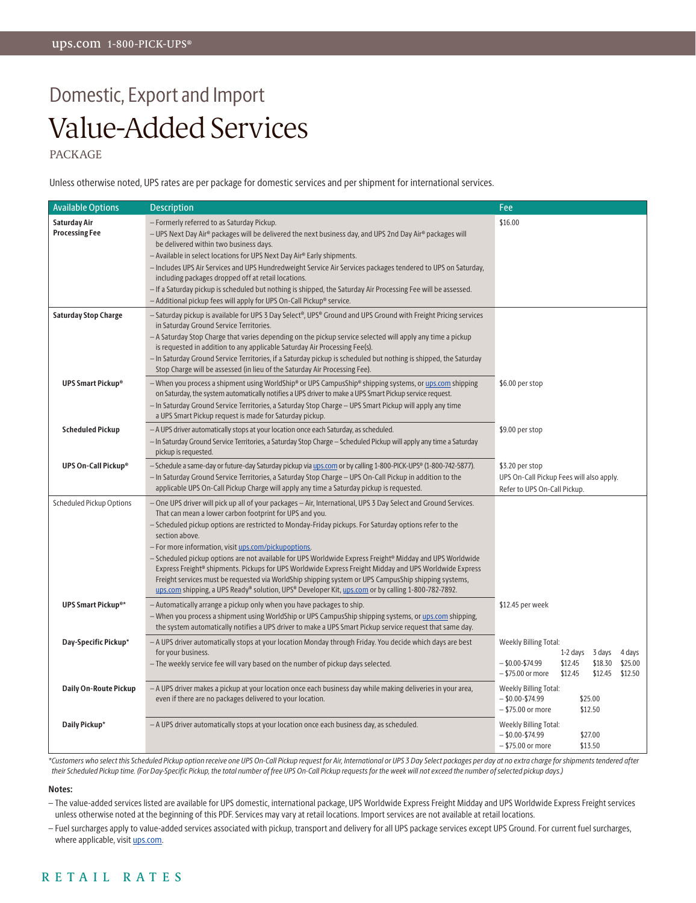PACKAGE

Unless otherwise noted, UPS rates are per package for domestic services and per shipment for international services.

| <b>Available Options</b>              | <b>Description</b>                                                                                                                                                                                                                                                                                                                                                                                                                                                                                                                                                                                                                                                                                                                                                                               | Fee                                                                                                                                                               |
|---------------------------------------|--------------------------------------------------------------------------------------------------------------------------------------------------------------------------------------------------------------------------------------------------------------------------------------------------------------------------------------------------------------------------------------------------------------------------------------------------------------------------------------------------------------------------------------------------------------------------------------------------------------------------------------------------------------------------------------------------------------------------------------------------------------------------------------------------|-------------------------------------------------------------------------------------------------------------------------------------------------------------------|
| Saturday Air<br><b>Processing Fee</b> | - Formerly referred to as Saturday Pickup.<br>$-$ UPS Next Day Air® packages will be delivered the next business day, and UPS 2nd Day Air® packages will<br>be delivered within two business days.<br>- Available in select locations for UPS Next Day Air® Early shipments.<br>- Includes UPS Air Services and UPS Hundredweight Service Air Services packages tendered to UPS on Saturday,<br>including packages dropped off at retail locations.<br>- If a Saturday pickup is scheduled but nothing is shipped, the Saturday Air Processing Fee will be assessed.<br>- Additional pickup fees will apply for UPS On-Call Pickup® service.                                                                                                                                                     | \$16.00                                                                                                                                                           |
| <b>Saturday Stop Charge</b>           | $-$ Saturday pickup is available for UPS 3 Day Select <sup>®</sup> , UPS <sup>®</sup> Ground and UPS Ground with Freight Pricing services<br>in Saturday Ground Service Territories.<br>- A Saturday Stop Charge that varies depending on the pickup service selected will apply any time a pickup<br>is requested in addition to any applicable Saturday Air Processing Fee(s).<br>- In Saturday Ground Service Territories, if a Saturday pickup is scheduled but nothing is shipped, the Saturday<br>Stop Charge will be assessed (in lieu of the Saturday Air Processing Fee).                                                                                                                                                                                                               |                                                                                                                                                                   |
| <b>UPS Smart Pickup®</b>              | - When you process a shipment using WorldShip® or UPS CampusShip® shipping systems, or ups.com shipping<br>on Saturday, the system automatically notifies a UPS driver to make a UPS Smart Pickup service request.<br>- In Saturday Ground Service Territories, a Saturday Stop Charge - UPS Smart Pickup will apply any time<br>a UPS Smart Pickup request is made for Saturday pickup.                                                                                                                                                                                                                                                                                                                                                                                                         | \$6.00 per stop                                                                                                                                                   |
| <b>Scheduled Pickup</b>               | - A UPS driver automatically stops at your location once each Saturday, as scheduled.<br>- In Saturday Ground Service Territories, a Saturday Stop Charge - Scheduled Pickup will apply any time a Saturday<br>pickup is requested.                                                                                                                                                                                                                                                                                                                                                                                                                                                                                                                                                              | \$9.00 per stop                                                                                                                                                   |
| <b>UPS On-Call Pickup®</b>            | - Schedule a same-day or future-day Saturday pickup via ups.com or by calling 1-800-PICK-UPS® (1-800-742-5877).<br>- In Saturday Ground Service Territories, a Saturday Stop Charge - UPS On-Call Pickup in addition to the<br>applicable UPS On-Call Pickup Charge will apply any time a Saturday pickup is requested.                                                                                                                                                                                                                                                                                                                                                                                                                                                                          | \$3.20 per stop<br>UPS On-Call Pickup Fees will also apply.<br>Refer to UPS On-Call Pickup.                                                                       |
| Scheduled Pickup Options              | - One UPS driver will pick up all of your packages - Air, International, UPS 3 Day Select and Ground Services.<br>That can mean a lower carbon footprint for UPS and you.<br>- Scheduled pickup options are restricted to Monday-Friday pickups. For Saturday options refer to the<br>section above.<br>- For more information, visit ups.com/pickupoptions.<br>- Scheduled pickup options are not available for UPS Worldwide Express Freight® Midday and UPS Worldwide<br>Express Freight® shipments. Pickups for UPS Worldwide Express Freight Midday and UPS Worldwide Express<br>Freight services must be requested via WorldShip shipping system or UPS CampusShip shipping systems,<br>ups.com shipping, a UPS Ready® solution, UPS® Developer Kit, ups.com or by calling 1-800-782-7892. |                                                                                                                                                                   |
| UPS Smart Pickup <sup>®*</sup>        | - Automatically arrange a pickup only when you have packages to ship.<br>- When you process a shipment using WorldShip or UPS CampusShip shipping systems, or ups.com shipping,<br>the system automatically notifies a UPS driver to make a UPS Smart Pickup service request that same day.                                                                                                                                                                                                                                                                                                                                                                                                                                                                                                      | \$12.45 per week                                                                                                                                                  |
| Day-Specific Pickup*                  | - A UPS driver automatically stops at your location Monday through Friday. You decide which days are best<br>for your business.<br>- The weekly service fee will vary based on the number of pickup days selected.                                                                                                                                                                                                                                                                                                                                                                                                                                                                                                                                                                               | Weekly Billing Total:<br>1-2 days 3 days<br>4 days<br>$-$ \$0.00-\$74.99<br>\$12.45<br>\$18.30<br>\$25.00<br>\$12.45<br>$-$ \$75.00 or more<br>\$12.45<br>\$12.50 |
| <b>Daily On-Route Pickup</b>          | - A UPS driver makes a pickup at your location once each business day while making deliveries in your area,<br>even if there are no packages delivered to your location.                                                                                                                                                                                                                                                                                                                                                                                                                                                                                                                                                                                                                         | Weekly Billing Total:<br>$-$ \$0.00-\$74.99<br>\$25.00<br>$-$ \$75.00 or more<br>\$12.50                                                                          |
| Daily Pickup*                         | - A UPS driver automatically stops at your location once each business day, as scheduled.                                                                                                                                                                                                                                                                                                                                                                                                                                                                                                                                                                                                                                                                                                        | Weekly Billing Total:<br>$-$ \$0.00-\$74.99<br>\$27.00<br>- \$75.00 or more<br>\$13.50                                                                            |

*\*Customers who select this Scheduled Pickup option receive one UPS On-Call Pickup request for Air, International or UPS 3 Day Select packages per day at no extra charge for shipments tendered after their Scheduled Pickup time. (For Day-Specific Pickup, the total number of free UPS On-Call Pickup requests for the week will not exceed the number of selected pickup days.)*

**Notes:**

– The value-added services listed are available for UPS domestic, international package, UPS Worldwide Express Freight Midday and UPS Worldwide Express Freight services unless otherwise noted at the beginning of this PDF. Services may vary at retail locations. Import services are not available at retail locations.

– Fuel surcharges apply to value-added services associated with pickup, transport and delivery for all UPS package services except UPS Ground. For current fuel surcharges, where applicable, visit [ups.com.](http://www.ups.com)